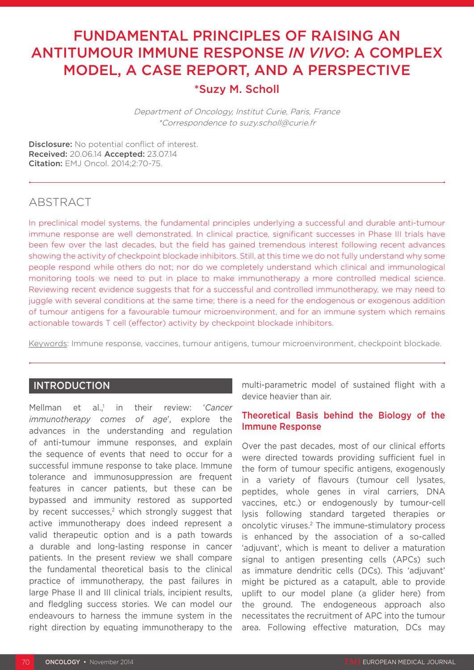# FUNDAMENTAL PRINCIPLES OF RAISING AN ANTITUMOUR IMMUNE RESPONSE *IN VIVO*: A COMPLEX MODEL, A CASE REPORT, AND A PERSPECTIVE

## \*Suzy M. Scholl

Department of Oncology, Institut Curie, Paris, France \*Correspondence to suzy.scholl@curie.fr

Disclosure: No potential conflict of interest. Received: 20.06.14 Accepted: 23.07.14 Citation: EMJ Oncol. 2014;2:70-75.

# ABSTRACT

In preclinical model systems, the fundamental principles underlying a successful and durable anti-tumour immune response are well demonstrated. In clinical practice, significant successes in Phase III trials have been few over the last decades, but the field has gained tremendous interest following recent advances showing the activity of checkpoint blockade inhibitors. Still, at this time we do not fully understand why some people respond while others do not; nor do we completely understand which clinical and immunological monitoring tools we need to put in place to make immunotherapy a more controlled medical science. Reviewing recent evidence suggests that for a successful and controlled immunotherapy, we may need to juggle with several conditions at the same time; there is a need for the endogenous or exogenous addition of tumour antigens for a favourable tumour microenvironment, and for an immune system which remains actionable towards T cell (effector) activity by checkpoint blockade inhibitors.

Keywords: Immune response, vaccines, tumour antigens, tumour microenvironment, checkpoint blockade.

## INTRODUCTION

Mellman et al. $<sup>1</sup>$  in</sup> their review: '*Cancer immunotherapy comes of age*', explore the advances in the understanding and regulation of anti-tumour immune responses, and explain the sequence of events that need to occur for a successful immune response to take place. Immune tolerance and immunosuppression are frequent features in cancer patients, but these can be bypassed and immunity restored as supported by recent successes,<sup>2</sup> which strongly suggest that active immunotherapy does indeed represent a valid therapeutic option and is a path towards a durable and long-lasting response in cancer patients. In the present review we shall compare the fundamental theoretical basis to the clinical practice of immunotherapy, the past failures in large Phase II and III clinical trials, incipient results, and fledgling success stories. We can model our endeavours to harness the immune system in the right direction by equating immunotherapy to the

multi-parametric model of sustained flight with a device heavier than air.

#### Theoretical Basis behind the Biology of the Immune Response

Over the past decades, most of our clinical efforts were directed towards providing sufficient fuel in the form of tumour specific antigens, exogenously in a variety of flavours (tumour cell lysates, peptides, whole genes in viral carriers, DNA vaccines, etc.) or endogenously by tumour-cell lysis following standard targeted therapies or oncolytic viruses.2 The immune-stimulatory process is enhanced by the association of a so-called 'adjuvant', which is meant to deliver a maturation signal to antigen presenting cells (APCs) such as immature dendritic cells (DCs). This 'adjuvant' might be pictured as a catapult, able to provide uplift to our model plane (a glider here) from the ground. The endogeneous approach also necessitates the recruitment of APC into the tumour area. Following effective maturation, DCs may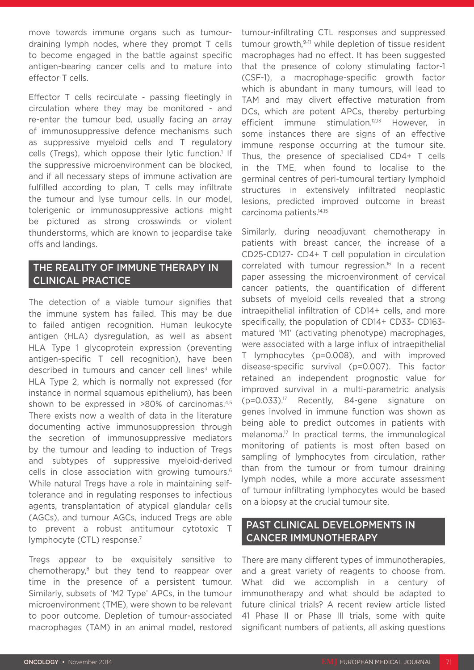move towards immune organs such as tumourdraining lymph nodes, where they prompt T cells to become engaged in the battle against specific antigen-bearing cancer cells and to mature into effector T cells.

Effector T cells recirculate - passing fleetingly in circulation where they may be monitored - and re-enter the tumour bed, usually facing an array of immunosuppressive defence mechanisms such as suppressive myeloid cells and T regulatory cells (Tregs), which oppose their lytic function.<sup>1</sup> If the suppressive microenvironment can be blocked, and if all necessary steps of immune activation are fulfilled according to plan, T cells may infiltrate the tumour and lyse tumour cells. In our model, tolerigenic or immunosuppressive actions might be pictured as strong crosswinds or violent thunderstorms, which are known to jeopardise take offs and landings.

## THE REALITY OF IMMUNE THERAPY IN CLINICAL PRACTICE

The detection of a viable tumour signifies that the immune system has failed. This may be due to failed antigen recognition. Human leukocyte antigen (HLA) dysregulation, as well as absent HLA Type 1 glycoprotein expression (preventing antigen-specific T cell recognition), have been described in tumours and cancer cell lines $3$  while HLA Type 2, which is normally not expressed (for instance in normal squamous epithelium), has been shown to be expressed in >80% of carcinomas.4,5 There exists now a wealth of data in the literature documenting active immunosuppression through the secretion of immunosuppressive mediators by the tumour and leading to induction of Tregs and subtypes of suppressive myeloid-derived cells in close association with growing tumours.<sup>6</sup> While natural Tregs have a role in maintaining selftolerance and in regulating responses to infectious agents, transplantation of atypical glandular cells (AGCs), and tumour AGCs, induced Tregs are able to prevent a robust antitumour cytotoxic T lymphocyte (CTL) response.7

Tregs appear to be exquisitely sensitive to chemotherapy,8 but they tend to reappear over time in the presence of a persistent tumour. Similarly, subsets of 'M2 Type' APCs, in the tumour microenvironment (TME), were shown to be relevant to poor outcome. Depletion of tumour-associated macrophages (TAM) in an animal model, restored

tumour-infiltrating CTL responses and suppressed tumour growth,<sup>9-11</sup> while depletion of tissue resident macrophages had no effect. It has been suggested that the presence of colony stimulating factor-1 (CSF-1), a macrophage-specific growth factor which is abundant in many tumours, will lead to TAM and may divert effective maturation from DCs, which are potent APCs, thereby perturbing efficient immune stimulation.<sup>12,13</sup> However, in some instances there are signs of an effective immune response occurring at the tumour site. Thus, the presence of specialised CD4+ T cells in the TME, when found to localise to the germinal centres of peri-tumoural tertiary lymphoid structures in extensively infiltrated neoplastic lesions, predicted improved outcome in breast carcinoma patients.14,15

Similarly, during neoadjuvant chemotherapy in patients with breast cancer, the increase of a CD25-CD127- CD4+ T cell population in circulation correlated with tumour regression.16 In a recent paper assessing the microenvironment of cervical cancer patients, the quantification of different subsets of myeloid cells revealed that a strong intraepithelial infiltration of CD14+ cells, and more specifically, the population of CD14+ CD33- CD163 matured 'M1' (activating phenotype) macrophages, were associated with a large influx of intraepithelial T lymphocytes (p=0.008), and with improved disease-specific survival (p=0.007). This factor retained an independent prognostic value for improved survival in a multi-parametric analysis (p=0.033).17 Recently, 84-gene signature on genes involved in immune function was shown as being able to predict outcomes in patients with melanoma.17 In practical terms, the immunological monitoring of patients is most often based on sampling of lymphocytes from circulation, rather than from the tumour or from tumour draining lymph nodes, while a more accurate assessment of tumour infiltrating lymphocytes would be based on a biopsy at the crucial tumour site.

## PAST CLINICAL DEVELOPMENTS IN CANCER IMMUNOTHERAPY

There are many different types of immunotherapies, and a great variety of reagents to choose from. What did we accomplish in a century of immunotherapy and what should be adapted to future clinical trials? A recent review article listed 41 Phase II or Phase III trials, some with quite significant numbers of patients, all asking questions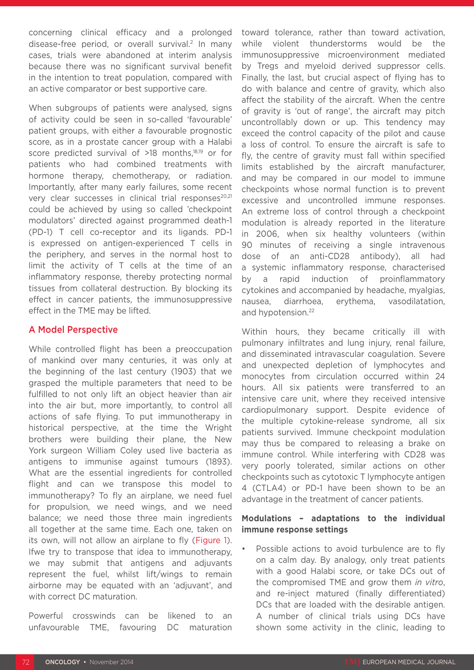concerning clinical efficacy and a prolonged disease-free period, or overall survival.<sup>2</sup> In many cases, trials were abandoned at interim analysis because there was no significant survival benefit in the intention to treat population, compared with an active comparator or best supportive care.

When subgroups of patients were analysed, signs of activity could be seen in so-called 'favourable' patient groups, with either a favourable prognostic score, as in a prostate cancer group with a Halabi score predicted survival of >18 months.<sup>18,19</sup> or for patients who had combined treatments with hormone therapy, chemotherapy, or radiation. Importantly, after many early failures, some recent very clear successes in clinical trial responses<sup>20,21</sup> could be achieved by using so called 'checkpoint modulators' directed against programmed death-1 (PD-1) T cell co-receptor and its ligands. PD-1 is expressed on antigen-experienced T cells in the periphery, and serves in the normal host to limit the activity of T cells at the time of an inflammatory response, thereby protecting normal tissues from collateral destruction. By blocking its effect in cancer patients, the immunosuppressive effect in the TME may be lifted.

## A Model Perspective

While controlled flight has been a preoccupation of mankind over many centuries, it was only at the beginning of the last century (1903) that we grasped the multiple parameters that need to be fulfilled to not only lift an object heavier than air into the air but, more importantly, to control all actions of safe flying. To put immunotherapy in historical perspective, at the time the Wright brothers were building their plane, the New York surgeon William Coley used live bacteria as antigens to immunise against tumours (1893). What are the essential ingredients for controlled flight and can we transpose this model to immunotherapy? To fly an airplane, we need fuel for propulsion, we need wings, and we need balance; we need those three main ingredients all together at the same time. Each one, taken on its own, will not allow an airplane to fly (Figure 1). Ifwe try to transpose that idea to immunotherapy, we may submit that antigens and adjuvants represent the fuel, whilst lift/wings to remain airborne may be equated with an 'adjuvant', and with correct DC maturation.

Powerful crosswinds can be likened to an unfavourable TME, favouring DC maturation toward tolerance, rather than toward activation, while violent thunderstorms would be the immunosuppressive microenvironment mediated by Tregs and myeloid derived suppressor cells. Finally, the last, but crucial aspect of flying has to do with balance and centre of gravity, which also affect the stability of the aircraft. When the centre of gravity is 'out of range', the aircraft may pitch uncontrollably down or up. This tendency may exceed the control capacity of the pilot and cause a loss of control. To ensure the aircraft is safe to fly, the centre of gravity must fall within specified limits established by the aircraft manufacturer, and may be compared in our model to immune checkpoints whose normal function is to prevent excessive and uncontrolled immune responses. An extreme loss of control through a checkpoint modulation is already reported in the literature in 2006, when six healthy volunteers (within 90 minutes of receiving a single intravenous dose of an anti-CD28 antibody), all had a systemic inflammatory response, characterised by a rapid induction of proinflammatory cytokines and accompanied by headache, myalgias, nausea, diarrhoea, erythema, vasodilatation, and hypotension.22

Within hours, they became critically ill with pulmonary infiltrates and lung injury, renal failure, and disseminated intravascular coagulation. Severe and unexpected depletion of lymphocytes and monocytes from circulation occurred within 24 hours. All six patients were transferred to an intensive care unit, where they received intensive cardiopulmonary support. Despite evidence of the multiple cytokine-release syndrome, all six patients survived. Immune checkpoint modulation may thus be compared to releasing a brake on immune control. While interfering with CD28 was very poorly tolerated, similar actions on other checkpoints such as cytotoxic T lymphocyte antigen 4 (CTLA4) or PD-1 have been shown to be an advantage in the treatment of cancer patients.

## **Modulations – adaptations to the individual immune response settings**

Possible actions to avoid turbulence are to fly on a calm day. By analogy, only treat patients with a good Halabi score, or take DCs out of the compromised TME and grow them *in vitro*, and re-inject matured (finally differentiated) DCs that are loaded with the desirable antigen. A number of clinical trials using DCs have shown some activity in the clinic, leading to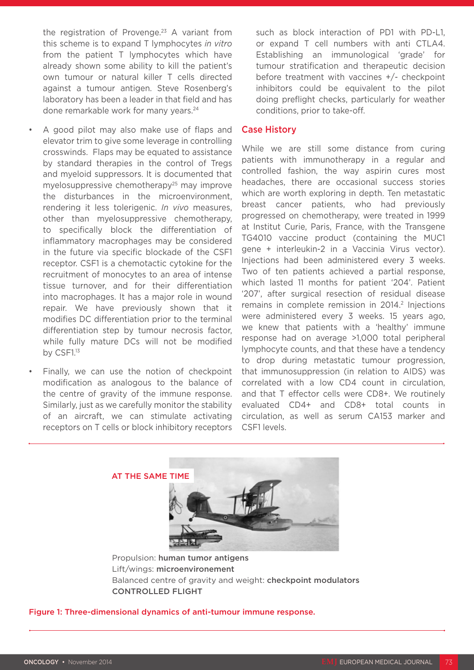the registration of Provenge.<sup>23</sup> A variant from this scheme is to expand T lymphocytes *in vitro* from the patient T lymphocytes which have already shown some ability to kill the patient's own tumour or natural killer T cells directed against a tumour antigen. Steve Rosenberg's laboratory has been a leader in that field and has done remarkable work for many years.<sup>24</sup>

- A good pilot may also make use of flaps and elevator trim to give some leverage in controlling crosswinds. Flaps may be equated to assistance by standard therapies in the control of Tregs and myeloid suppressors. It is documented that myelosuppressive chemotherapy<sup>25</sup> may improve the disturbances in the microenvironment, rendering it less tolerigenic. *In vivo* measures, other than myelosuppressive chemotherapy, to specifically block the differentiation of inflammatory macrophages may be considered in the future via specific blockade of the CSF1 receptor. CSF1 is a chemotactic cytokine for the recruitment of monocytes to an area of intense tissue turnover, and for their differentiation into macrophages. It has a major role in wound repair. We have previously shown that it modifies DC differentiation prior to the terminal differentiation step by tumour necrosis factor, while fully mature DCs will not be modified by CSF1.<sup>13</sup>
- Finally, we can use the notion of checkpoint modification as analogous to the balance of the centre of gravity of the immune response. Similarly, just as we carefully monitor the stability of an aircraft, we can stimulate activating receptors on T cells or block inhibitory receptors

such as block interaction of PD1 with PD-L1, or expand T cell numbers with anti CTLA4. Establishing an immunological 'grade' for tumour stratification and therapeutic decision before treatment with vaccines +/- checkpoint inhibitors could be equivalent to the pilot doing preflight checks, particularly for weather conditions, prior to take-off.

#### Case History

While we are still some distance from curing patients with immunotherapy in a regular and controlled fashion, the way aspirin cures most headaches, there are occasional success stories which are worth exploring in depth. Ten metastatic breast cancer patients, who had previously progressed on chemotherapy, were treated in 1999 at Institut Curie, Paris, France, with the Transgene TG4010 vaccine product (containing the MUC1 gene + interleukin-2 in a Vaccinia Virus vector). Injections had been administered every 3 weeks. Two of ten patients achieved a partial response, which lasted 11 months for patient '204'. Patient '207', after surgical resection of residual disease remains in complete remission in 2014.<sup>2</sup> Injections were administered every 3 weeks. 15 years ago, we knew that patients with a 'healthy' immune response had on average >1,000 total peripheral lymphocyte counts, and that these have a tendency to drop during metastatic tumour progression, that immunosuppression (in relation to AIDS) was correlated with a low CD4 count in circulation, and that T effector cells were CD8+. We routinely evaluated CD4+ and CD8+ total counts in circulation, as well as serum CA153 marker and CSF1 levels.



Propulsion: human tumor antigens Lift/wings: microenvironement Balanced centre of gravity and weight: checkpoint modulators CONTROLLED FLIGHT

#### Figure 1: Three-dimensional dynamics of anti-tumour immune response.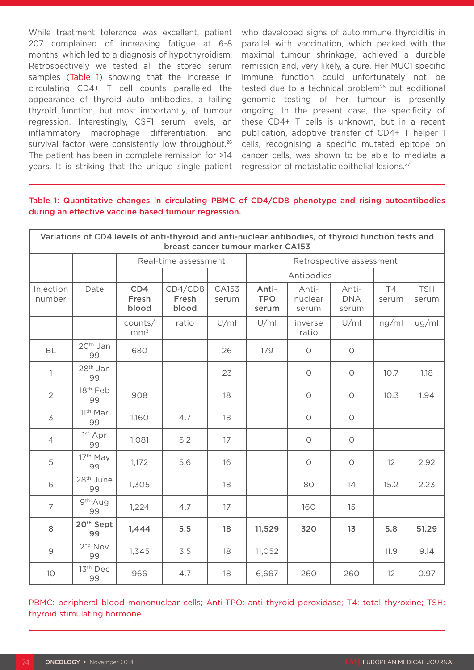While treatment tolerance was excellent, patient 207 complained of increasing fatigue at 6-8 months, which led to a diagnosis of hypothyroidism. Retrospectively we tested all the stored serum samples (Table 1) showing that the increase in circulating CD4+ T cell counts paralleled the appearance of thyroid auto antibodies, a failing thyroid function, but most importantly, of tumour regression. Interestingly, CSF1 serum levels, an inflammatory macrophage differentiation, and survival factor were consistently low throughout.<sup>26</sup> The patient has been in complete remission for >14 years. It is striking that the unique single patient

who developed signs of autoimmune thyroiditis in parallel with vaccination, which peaked with the maximal tumour shrinkage, achieved a durable remission and, very likely, a cure. Her MUC1 specific immune function could unfortunately not be tested due to a technical problem<sup>26</sup> but additional genomic testing of her tumour is presently ongoing. In the present case, the specificity of these CD4+ T cells is unknown, but in a recent publication, adoptive transfer of CD4+ T helper 1 cells, recognising a specific mutated epitope on cancer cells, was shown to be able to mediate a regression of metastatic epithelial lesions.27

Table 1: Quantitative changes in circulating PBMC of CD4/CD8 phenotype and rising autoantibodies during an effective vaccine based tumour regression.

| Variations of CD4 levels of anti-thyroid and anti-nuclear antibodies, of thyroid function tests and<br>breast cancer tumour marker CA153 |                             |                            |                           |                |                              |                           |                              |             |                     |
|------------------------------------------------------------------------------------------------------------------------------------------|-----------------------------|----------------------------|---------------------------|----------------|------------------------------|---------------------------|------------------------------|-------------|---------------------|
|                                                                                                                                          |                             | Real-time assessment       |                           |                | Retrospective assessment     |                           |                              |             |                     |
|                                                                                                                                          |                             |                            |                           |                | Antibodies                   |                           |                              |             |                     |
| Injection<br>number                                                                                                                      | Date                        | CD4<br>Fresh<br>blood      | CD4/CD8<br>Fresh<br>blood | CA153<br>serum | Anti-<br><b>TPO</b><br>serum | Anti-<br>nuclear<br>serum | Anti-<br><b>DNA</b><br>serum | T4<br>serum | <b>TSH</b><br>serum |
|                                                                                                                                          |                             | counts/<br>mm <sup>3</sup> | ratio                     | U/ml           | U/ml                         | inverse<br>ratio          | U/ml                         | ng/ml       | ug/ml               |
| <b>BL</b>                                                                                                                                | 20 <sup>th</sup> Jan<br>99  | 680                        |                           | 26             | 179                          | $\circ$                   | $\bigcirc$                   |             |                     |
| $\mathbb{1}$                                                                                                                             | 28 <sup>th</sup> Jan<br>99  |                            |                           | 23             |                              | $\bigcirc$                | $\bigcirc$                   | 10.7        | 1.18                |
| $\overline{2}$                                                                                                                           | 18th Feb<br>99              | 908                        |                           | 18             |                              | $\circ$                   | $\bigcirc$                   | 10.3        | 1.94                |
| 3                                                                                                                                        | 11 <sup>th</sup> Mar<br>99  | 1,160                      | 4.7                       | 18             |                              | $\bigcirc$                | $\bigcirc$                   |             |                     |
| $\overline{4}$                                                                                                                           | 1st Apr<br>99               | 1,081                      | 5.2                       | 17             |                              | $\bigcirc$                | $\bigcirc$                   |             |                     |
| 5                                                                                                                                        | 17th May<br>99              | 1,172                      | 5.6                       | 16             |                              | $\bigcirc$                | $\bigcirc$                   | 12          | 2.92                |
| 6                                                                                                                                        | 28 <sup>th</sup> June<br>99 | 1,305                      |                           | 18             |                              | 80                        | 14                           | 15.2        | 2.23                |
| $\overline{7}$                                                                                                                           | 9 <sup>th</sup> Aug<br>99   | 1,224                      | 4.7                       | 17             |                              | 160                       | 15                           |             |                     |
| 8                                                                                                                                        | 20 <sup>th</sup> Sept<br>99 | 1,444                      | 5.5                       | 18             | 11,529                       | 320                       | 13                           | 5.8         | 51.29               |
| $\mathcal{G}$                                                                                                                            | 2 <sup>nd</sup> Nov<br>99   | 1,345                      | 3.5                       | 18             | 11,052                       |                           |                              | 11.9        | 9.14                |
| 10                                                                                                                                       | 13th Dec<br>99              | 966                        | 4.7                       | 18             | 6,667                        | 260                       | 260                          | 12          | 0.97                |

PBMC: peripheral blood mononuclear cells; Anti-TPO: anti-thyroid peroxidase; T4: total thyroxine; TSH: thyroid stimulating hormone.